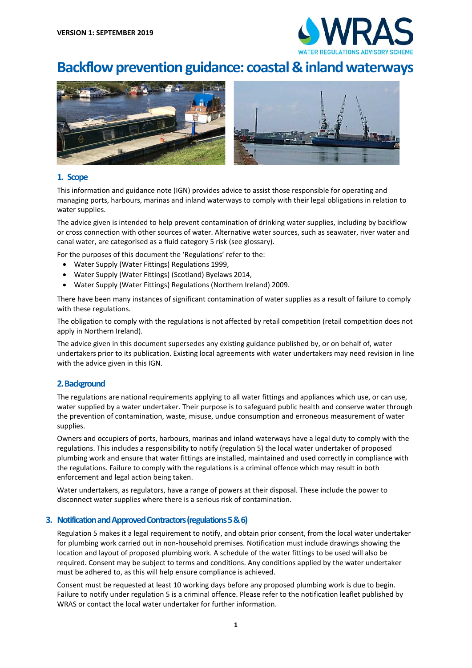

# **Backflow prevention guidance: coastal & inland waterways**



## **1. Scope**

This information and guidance note (IGN) provides advice to assist those responsible for operating and managing ports, harbours, marinas and inland waterways to comply with their legal obligations in relation to water supplies.

The advice given is intended to help prevent contamination of drinking water supplies, including by backflow or cross connection with other sources of water. Alternative water sources, such as seawater, river water and canal water, are categorised as a fluid category 5 risk (see glossary).

For the purposes of this document the 'Regulations' refer to the:

- Water Supply (Water Fittings) Regulations 1999,
- Water Supply (Water Fittings) (Scotland) Byelaws 2014,
- Water Supply (Water Fittings) Regulations (Northern Ireland) 2009.

There have been many instances of significant contamination of water supplies as a result of failure to comply with these regulations.

The obligation to comply with the regulations is not affected by retail competition (retail competition does not apply in Northern Ireland).

The advice given in this document supersedes any existing guidance published by, or on behalf of, water undertakers prior to its publication. Existing local agreements with water undertakers may need revision in line with the advice given in this IGN.

## **2. Background**

The regulations are national requirements applying to all water fittings and appliances which use, or can use, water supplied by a water undertaker. Their purpose is to safeguard public health and conserve water through the prevention of contamination, waste, misuse, undue consumption and erroneous measurement of water supplies.

Owners and occupiers of ports, harbours, marinas and inland waterways have a legal duty to comply with the regulations. This includes a responsibility to notify (regulation 5) the local water undertaker of proposed plumbing work and ensure that water fittings are installed, maintained and used correctly in compliance with the regulations. Failure to comply with the regulations is a criminal offence which may result in both enforcement and legal action being taken.

Water undertakers, as regulators, have a range of powers at their disposal. These include the power to disconnect water supplies where there is a serious risk of contamination.

## **3. Notification and Approved Contractors (regulations 5 & 6)**

Regulation 5 makes it a legal requirement to notify, and obtain prior consent, from the local water undertaker for plumbing work carried out in non-household premises. Notification must include drawings showing the location and layout of proposed plumbing work. A schedule of the water fittings to be used will also be required. Consent may be subject to terms and conditions. Any conditions applied by the water undertaker must be adhered to, as this will help ensure compliance is achieved.

Consent must be requested at least 10 working days before any proposed plumbing work is due to begin. Failure to notify under regulation 5 is a criminal offence. Please refer to the notification leaflet published by WRAS or contact the local water undertaker for further information.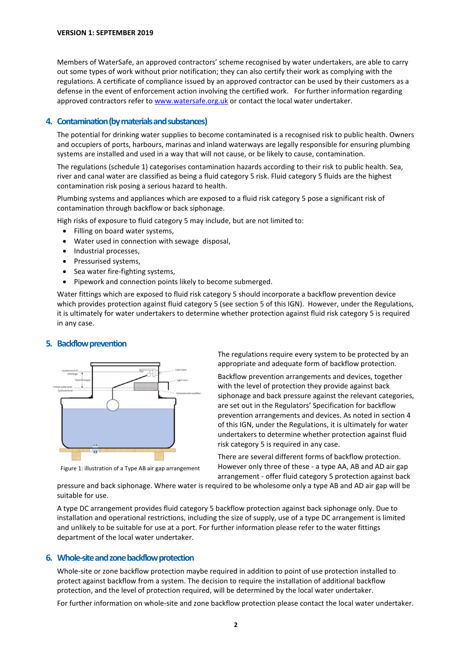Members of WaterSafe, an approved contractors' scheme recognised by water undertakers, are able to carry out some types of work without prior notification; they can also certify their work as complying with the regulations. A certificate of compliance issued by an approved contractor can be used by their customers as a defense in the event of enforcement action involving the certified work. For further information regarding approved contractors refer to www.watersafe.org.uk or contact the local water undertaker.

# **4. Contamination (by materials and substances)**

The potential for drinking water supplies to become contaminated is a recognised risk to public health. Owners and occupiers of ports, harbours, marinas and inland waterways are legally responsible for ensuring plumbing systems are installed and used in a way that will not cause, or be likely to cause, contamination.

The regulations (schedule 1) categorises contamination hazards according to their risk to public health. Sea, river and canal water are classified as being a fluid category 5 risk. Fluid category 5 fluids are the highest contamination risk posing a serious hazard to health.

Plumbing systems and appliances which are exposed to a fluid risk category 5 pose a significant risk of contamination through backflow or back siphonage.

- High risks of exposure to fluid category 5 may include, but are not limited to:
	- Filling on board water systems,
	- Water used in connection with sewage disposal,
	- Industrial processes,
	- Pressurised systems,
	- Sea water fire-fighting systems,
	- Pipework and connection points likely to become submerged.

Water fittings which are exposed to fluid risk category 5 should incorporate a backflow prevention device which provides protection against fluid category 5 (see section 5 of this IGN). However, under the Regulations, it is ultimately for water undertakers to determine whether protection against fluid risk category 5 is required in any case.

# **5. Backflow prevention**



Figure 1: illustration of a Type AB air gap arrangement

The regulations require every system to be protected by an appropriate and adequate form of backflow protection.

Backflow prevention arrangements and devices, together with the level of protection they provide against back siphonage and back pressure against the relevant categories, are set out in the Regulators' Specification for backflow prevention arrangements and devices. As noted in section 4 of this IGN, under the Regulations, it is ultimately for water undertakers to determine whether protection against fluid risk category 5 is required in any case.

There are several different forms of backflow protection. However only three of these - a type AA, AB and AD air gap arrangement - offer fluid category 5 protection against back

pressure and back siphonage. Where water is required to be wholesome only a type AB and AD air gap will be suitable for use.

A type DC arrangement provides fluid category 5 backflow protection against back siphonage only. Due to installation and operational restrictions, including the size of supply, use of a type DC arrangement is limited and unlikely to be suitable for use at a port. For further information please refer to the water fittings department of the local water undertaker.

## **6. Whole-site and zone backflow protection**

Whole-site or zone backflow protection maybe required in addition to point of use protection installed to protect against backflow from a system. The decision to require the installation of additional backflow protection, and the level of protection required, will be determined by the local water undertaker.

For further information on whole-site and zone backflow protection please contact the local water undertaker.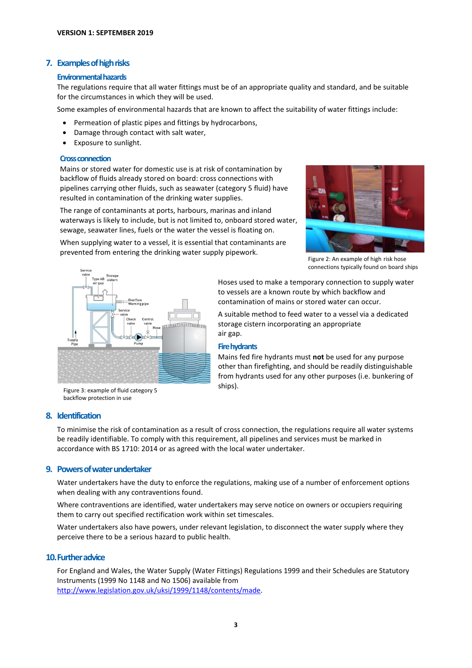# **7. Examples of high risks**

#### **Environmental hazards**

The regulations require that all water fittings must be of an appropriate quality and standard, and be suitable for the circumstances in which they will be used.

Some examples of environmental hazards that are known to affect the suitability of water fittings include:

- Permeation of plastic pipes and fittings by hydrocarbons,
- Damage through contact with salt water,
- Exposure to sunlight.

#### **Cross connection**

Mains or stored water for domestic use is at risk of contamination by backflow of fluids already stored on board: cross connections with pipelines carrying other fluids, such as seawater (category 5 fluid) have resulted in contamination of the drinking water supplies.

The range of contaminants at ports, harbours, marinas and inland waterways is likely to include, but is not limited to, onboard stored water, sewage, seawater lines, fuels or the water the vessel is floating on.

When supplying water to a vessel, it is essential that contaminants are

prevented from entering the drinking water supply pipework.



Figure 2: An example of high risk hose connections typically found on board ships



Hoses used to make a temporary connection to supply water to vessels are a known route by which backflow and contamination of mains or stored water can occur.

A suitable method to feed water to a vessel via a dedicated storage cistern incorporating an appropriate air gap.

#### **Firehydrants**

Mains fed fire hydrants must **not** be used for any purpose other than firefighting, and should be readily distinguishable from hydrants used for any other purposes (i.e. bunkering of ships).

Figure 3: example of fluid category 5 backflow protection in use

# **8. Identification**

To minimise the risk of contamination as a result of cross connection, the regulations require all water systems be readily identifiable. To comply with this requirement, all pipelines and services must be marked in accordance with BS 1710: 2014 or as agreed with the local water undertaker.

# **9. Powers of water undertaker**

Water undertakers have the duty to enforce the regulations, making use of a number of enforcement options when dealing with any contraventions found.

Where contraventions are identified, water undertakers may serve notice on owners or occupiers requiring them to carry out specified rectification work within set timescales.

Water undertakers also have powers, under relevant legislation, to disconnect the water supply where they perceive there to be a serious hazard to public health.

## **10.Further advice**

For England and Wales, the Water Supply (Water Fittings) Regulations 1999 and their Schedules are Statutory Instruments (1999 No 1148 and No 1506) available from [http://www.legislation.gov.uk/uksi/1999/1148/contents/made.](http://www.legislation.gov.uk/uksi/1999/1148/contents/made)